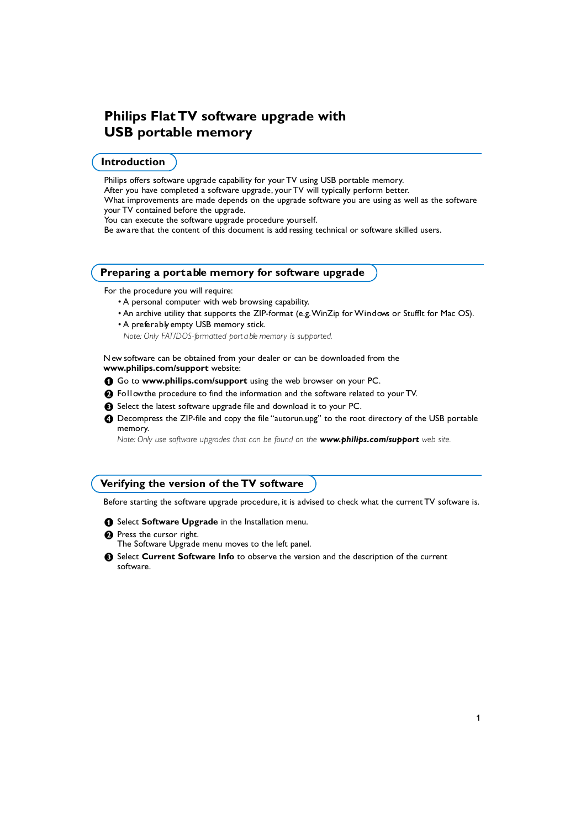# **Philips Flat TV software upgrade with USB portable memory**

## **Introduction**

Philips offers software upgrade capability for your TV using USB portable memory. After you have completed a software upgrade, your TV will typically perform better. What improvements are made depends on the upgrade software you are using as well as the software your TV contained before the upgrade. You can execute the software upgrade procedure yourself. Be aw a re that the content of this document is add ressing technical or software skilled users.

### **Preparing a portable memory for software upgrade**

For the procedure you will require:

- A personal computer with web browsing capability.
- An archive utility that supports the ZIP-format (e.g. WinZip for Windows or Stufflt for Mac OS).
- A preferably empty USB memory stick.

*Note: Only FAT/DOS-formatted port a ble memory is supported.* 

N ew software can be obtained from your dealer or can be downloaded from the www.philips.com/support website:

- **O** Go to www.philips.com/support using the web browser on your PC.
- **e** Follow the procedure to find the information and the software related to your TV.
- Select the latest software upgrade file and download it to your PC.
- $\bullet$  Decompress the ZIP-file and copy the file "autorun.upg" to the root directory of the USB portable memory.

*Note: Only use software upgrades that can be found on the www.philips.com/support web site.* 

## **Verifying the version of the TV software**

Before starting the software upgrade procedure, it is advised to check what the current TV software is.

- **1** Select **Software Upgrade** in the Installation menu.
- **A** Press the cursor right.
	- The Software Upgrade menu moves to the left panel.
- <sup>8</sup> Select **Current Software Info** to observe the version and the description of the current s of tware.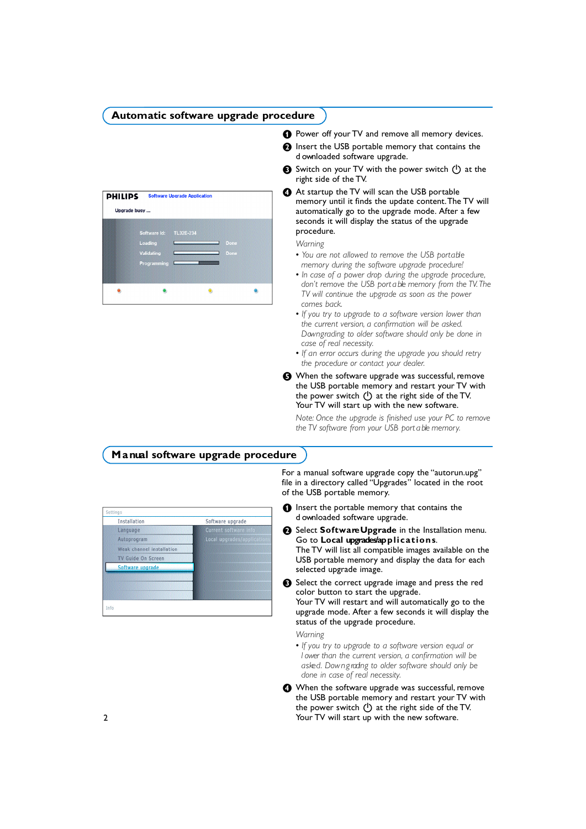## Automatic software upgrade procedure

| <b>PHILIPS</b> |                                                      | <b>Software Upgrade Application</b> |              |  |
|----------------|------------------------------------------------------|-------------------------------------|--------------|--|
| Upgrade busy   |                                                      |                                     |              |  |
|                | Software Id:<br>Loading<br>Validating<br>Programming | TL32E-234                           | Done<br>Done |  |
|                |                                                      |                                     |              |  |

- **O** Power off your TV and remove all memory devices.
- **A** Insert the USB portable memory that contains the d ownloaded software upgrade.
- Switch on your TV with the power switch (1) at the right side of the TV.
- $\bullet$  At startup the TV will scan the USB portable memory until it finds the update content. The TV will automatically go to the upgrade mode. After a few seconds it will display the status of the upgrade procedure.

### *Warning*

- You are not allowed to remove the USB portable *memory during the software upgrade procedure!*
- *In case of a power drop during the upgrade procedure, don't remove the USB port a ble memory from the TV. The TV will continue the upgrade as soon as the power comes back.*
- *If you try to upgrade to a software version lower than the current version, a confirmation will be asked. D ow n g rading to older software should only be done in case of real necessity.*
- *If an error occurs during the upgrade you should retry the procedure or contact your dealer.*
- (B) When the software upgrade was successful, remove the USB portable memory and restart your TV with the power switch  $\binom{I}{k}$  at the right side of the TV. Your TV will start up with the new software.

*Note: Once the upgrade is finished use your PC to remove the TV software from your USB port a ble memory.*

## **Manual software upgrade procedure**

| Software upgrade<br>Current software info<br>Local upgrades/applicat |
|----------------------------------------------------------------------|
|                                                                      |
|                                                                      |
|                                                                      |
|                                                                      |
|                                                                      |
|                                                                      |
|                                                                      |
|                                                                      |
|                                                                      |
|                                                                      |

- For a manual software upgrade copy the "autorun.upg" file in a directory called "Upgrades" located in the root of the USB portable memory.
- **O** Insert the portable memory that contains the d ownloaded software upgrade.
- **A** Select **Software Upgrade** in the Installation menu. Go to **Local upgrades/ap p l i c a t i o n s**. The TV will list all compatible images available on the USB portable memory and display the data for each selected upgrade image.
- Select the correct upgrade image and press the red color button to start the upgrade. Your TV will restart and will automatically go to the upgrade mode. After a few seconds it will display the status of the upgrade procedure.

*Warning* 

- *If you try to upgrade to a software version equal or l* ower than the current version, a confirmation will be *a s ke d . D ow n g rading to older software should only be done in case of real necessity.*
- $\bullet$  When the software upgrade was successful, remove the USB portable memory and restart your TV with the power switch  $(\cdot)$  at the right side of the TV. Your TV will start up with the new software.